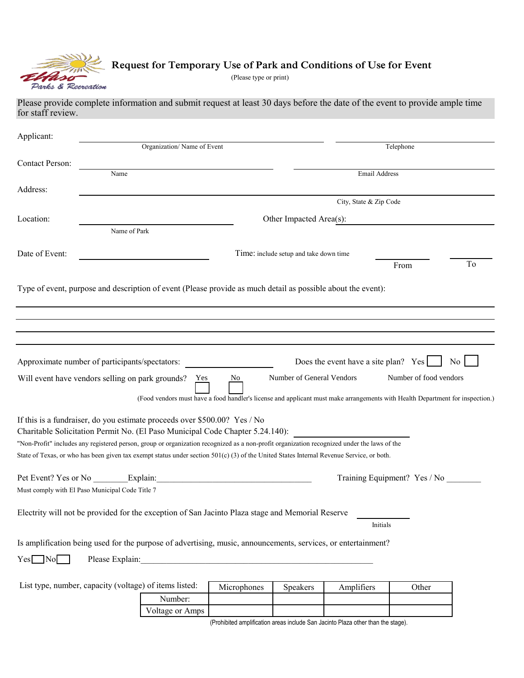

## **Request for Temporary Use of Park and Conditions of Use for Event**

(Please type or print)

## Please provide complete information and submit request at least 30 days before the date of the event to provide ample time for staff review.

| Applicant:                                                                                                                                                                                                                   |                         |                                                                                                                                                                                                                                |             |                                        |                                      |                              |                |  |  |
|------------------------------------------------------------------------------------------------------------------------------------------------------------------------------------------------------------------------------|-------------------------|--------------------------------------------------------------------------------------------------------------------------------------------------------------------------------------------------------------------------------|-------------|----------------------------------------|--------------------------------------|------------------------------|----------------|--|--|
|                                                                                                                                                                                                                              |                         | Organization/Name of Event                                                                                                                                                                                                     |             |                                        | Telephone                            |                              |                |  |  |
| <b>Contact Person:</b>                                                                                                                                                                                                       |                         |                                                                                                                                                                                                                                |             |                                        |                                      |                              |                |  |  |
|                                                                                                                                                                                                                              | Name                    |                                                                                                                                                                                                                                |             |                                        | Email Address                        |                              |                |  |  |
| Address:                                                                                                                                                                                                                     |                         |                                                                                                                                                                                                                                |             |                                        | City, State & Zip Code               |                              |                |  |  |
| Location:                                                                                                                                                                                                                    | Other Impacted Area(s): |                                                                                                                                                                                                                                |             |                                        |                                      |                              |                |  |  |
|                                                                                                                                                                                                                              | Name of Park            |                                                                                                                                                                                                                                |             |                                        |                                      |                              |                |  |  |
|                                                                                                                                                                                                                              |                         |                                                                                                                                                                                                                                |             |                                        |                                      |                              |                |  |  |
| Date of Event:                                                                                                                                                                                                               |                         |                                                                                                                                                                                                                                |             | Time: include setup and take down time |                                      |                              | To             |  |  |
|                                                                                                                                                                                                                              |                         |                                                                                                                                                                                                                                |             |                                        |                                      | From                         |                |  |  |
| Type of event, purpose and description of event (Please provide as much detail as possible about the event):                                                                                                                 |                         |                                                                                                                                                                                                                                |             |                                        |                                      |                              |                |  |  |
|                                                                                                                                                                                                                              |                         |                                                                                                                                                                                                                                |             |                                        |                                      |                              |                |  |  |
|                                                                                                                                                                                                                              |                         |                                                                                                                                                                                                                                |             |                                        |                                      |                              |                |  |  |
|                                                                                                                                                                                                                              |                         |                                                                                                                                                                                                                                |             |                                        |                                      |                              |                |  |  |
|                                                                                                                                                                                                                              |                         |                                                                                                                                                                                                                                |             |                                        |                                      |                              |                |  |  |
| Approximate number of participants/spectators:                                                                                                                                                                               |                         |                                                                                                                                                                                                                                |             |                                        | Does the event have a site plan? Yes |                              | N <sub>0</sub> |  |  |
| Will event have vendors selling on park grounds?                                                                                                                                                                             |                         | Yes                                                                                                                                                                                                                            | No          | Number of General Vendors              |                                      | Number of food vendors       |                |  |  |
|                                                                                                                                                                                                                              |                         | (Food vendors must have a food handler's license and applicant must make arrangements with Health Department for inspection.)                                                                                                  |             |                                        |                                      |                              |                |  |  |
|                                                                                                                                                                                                                              |                         |                                                                                                                                                                                                                                |             |                                        |                                      |                              |                |  |  |
| If this is a fundraiser, do you estimate proceeds over \$500.00? Yes / No                                                                                                                                                    |                         |                                                                                                                                                                                                                                |             |                                        |                                      |                              |                |  |  |
| Charitable Solicitation Permit No. (El Paso Municipal Code Chapter 5.24.140):<br>"Non-Profit" includes any registered person, group or organization recognized as a non-profit organization recognized under the laws of the |                         |                                                                                                                                                                                                                                |             |                                        |                                      |                              |                |  |  |
| State of Texas, or who has been given tax exempt status under section 501(c) (3) of the United States Internal Revenue Service, or both.                                                                                     |                         |                                                                                                                                                                                                                                |             |                                        |                                      |                              |                |  |  |
|                                                                                                                                                                                                                              |                         |                                                                                                                                                                                                                                |             |                                        |                                      |                              |                |  |  |
| Pet Event? Yes or No Explain:                                                                                                                                                                                                |                         |                                                                                                                                                                                                                                |             |                                        |                                      | Training Equipment? Yes / No |                |  |  |
| Must comply with El Paso Municipal Code Title 7                                                                                                                                                                              |                         |                                                                                                                                                                                                                                |             |                                        |                                      |                              |                |  |  |
| Electrity will not be provided for the exception of San Jacinto Plaza stage and Memorial Reserve                                                                                                                             |                         |                                                                                                                                                                                                                                |             |                                        |                                      |                              |                |  |  |
|                                                                                                                                                                                                                              |                         |                                                                                                                                                                                                                                |             |                                        | Initials                             |                              |                |  |  |
| Is amplification being used for the purpose of advertising, music, announcements, services, or entertainment?                                                                                                                |                         |                                                                                                                                                                                                                                |             |                                        |                                      |                              |                |  |  |
| $Yes \Box No \Box$                                                                                                                                                                                                           |                         | Please Explain: No. 1996. The Second Second Second Second Second Second Second Second Second Second Second Second Second Second Second Second Second Second Second Second Second Second Second Second Second Second Second Sec |             |                                        |                                      |                              |                |  |  |
|                                                                                                                                                                                                                              |                         |                                                                                                                                                                                                                                |             |                                        |                                      |                              |                |  |  |
| List type, number, capacity (voltage) of items listed:                                                                                                                                                                       |                         |                                                                                                                                                                                                                                | Microphones | Speakers                               | Amplifiers                           | Other                        |                |  |  |
|                                                                                                                                                                                                                              |                         | Number:                                                                                                                                                                                                                        |             |                                        |                                      |                              |                |  |  |

Voltage or Amps

(Prohibited amplification areas include San Jacinto Plaza other than the stage).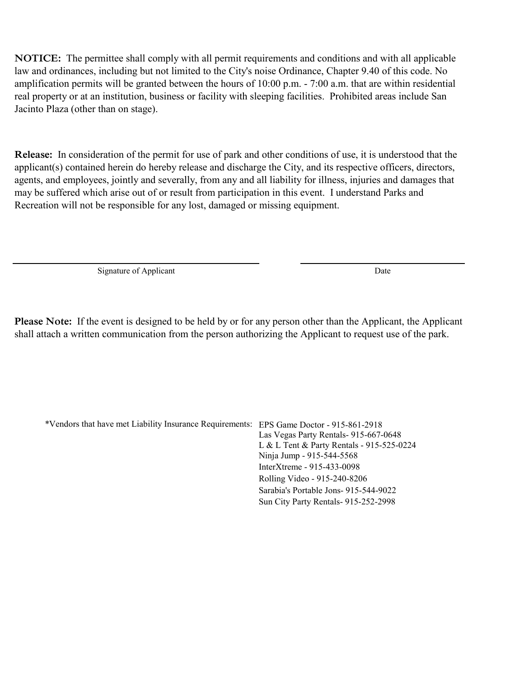**NOTICE:** The permittee shall comply with all permit requirements and conditions and with all applicable law and ordinances, including but not limited to the City's noise Ordinance, Chapter 9.40 of this code. No amplification permits will be granted between the hours of 10:00 p.m. - 7:00 a.m. that are within residential real property or at an institution, business or facility with sleeping facilities. Prohibited areas include San Jacinto Plaza (other than on stage).

**Release:** In consideration of the permit for use of park and other conditions of use, it is understood that the applicant(s) contained herein do hereby release and discharge the City, and its respective officers, directors, agents, and employees, jointly and severally, from any and all liability for illness, injuries and damages that may be suffered which arise out of or result from participation in this event. I understand Parks and Recreation will not be responsible for any lost, damaged or missing equipment.

Signature of Applicant Date

**Please Note:** If the event is designed to be held by or for any person other than the Applicant, the Applicant shall attach a written communication from the person authorizing the Applicant to request use of the park.

\*Vendors that have met Liability Insurance Requirements: EPS Game Doctor - 915-861-2918 Las Vegas Party Rentals- 915-667-0648 L & L Tent & Party Rentals - 915-525-0224 Ninja Jump - 915-544-5568 InterXtreme - 915-433-0098 Rolling Video - 915-240-8206 Sarabia's Portable Jons- 915-544-9022 Sun City Party Rentals- 915-252-2998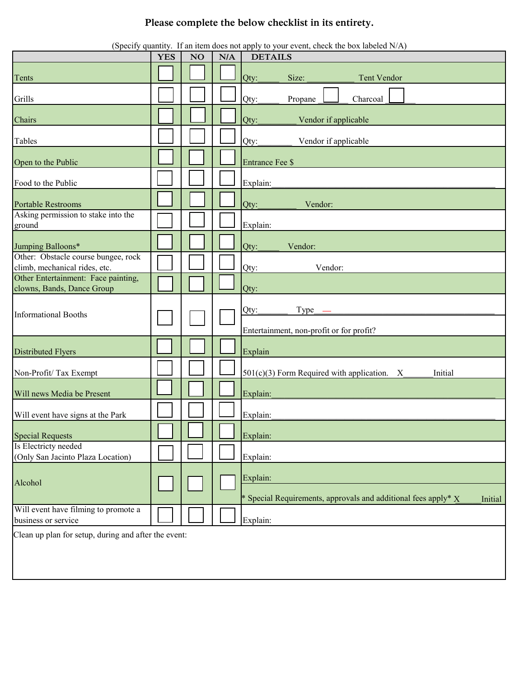## **Please complete the below checklist in its entirety.**

| (Specify quantity. If an item does not apply to your event, check the box labeled N/A) |            |                |     |                                                                            |  |  |  |  |
|----------------------------------------------------------------------------------------|------------|----------------|-----|----------------------------------------------------------------------------|--|--|--|--|
|                                                                                        | <b>YES</b> | N <sub>O</sub> | N/A | <b>DETAILS</b>                                                             |  |  |  |  |
| Tents                                                                                  |            |                |     | Size:<br>Tent Vendor<br>Qty:                                               |  |  |  |  |
| Grills                                                                                 |            |                |     | Charcoal<br>Propane<br>Qty:                                                |  |  |  |  |
| Chairs                                                                                 |            |                |     | Vendor if applicable<br>Qty:                                               |  |  |  |  |
| Tables                                                                                 |            |                |     | Vendor if applicable<br>Qty:                                               |  |  |  |  |
| Open to the Public                                                                     |            |                |     | <b>Entrance Fee \$</b>                                                     |  |  |  |  |
| Food to the Public                                                                     |            |                |     | Explain:                                                                   |  |  |  |  |
| <b>Portable Restrooms</b>                                                              |            |                |     | Vendor:<br>Qty:                                                            |  |  |  |  |
| Asking permission to stake into the<br>ground                                          |            |                |     | Explain:                                                                   |  |  |  |  |
| Jumping Balloons*                                                                      |            |                |     | Qty:<br>Vendor:                                                            |  |  |  |  |
| Other: Obstacle course bungee, rock<br>climb, mechanical rides, etc.                   |            |                |     | Vendor:<br>Qty:                                                            |  |  |  |  |
| Other Entertainment: Face painting,<br>clowns, Bands, Dance Group                      |            |                |     | Qty:                                                                       |  |  |  |  |
| <b>Informational Booths</b>                                                            |            |                |     | Type<br>Qty:<br>Entertainment, non-profit or for profit?                   |  |  |  |  |
| <b>Distributed Flyers</b>                                                              |            |                |     | Explain                                                                    |  |  |  |  |
| Non-Profit/Tax Exempt                                                                  |            |                |     | $501(c)(3)$ Form Required with application.<br>Initial<br>$\mathbf{X}$     |  |  |  |  |
| Will news Media be Present                                                             |            |                |     | Explain:                                                                   |  |  |  |  |
| Will event have signs at the Park                                                      |            |                |     | Explain:                                                                   |  |  |  |  |
| <b>Special Requests</b>                                                                |            |                |     | Explain:                                                                   |  |  |  |  |
| Is Electricty needed<br>(Only San Jacinto Plaza Location)                              |            |                |     | Explain:                                                                   |  |  |  |  |
| Alcohol                                                                                |            |                |     | Explain:<br>* Special Requirements, approvals and additional fees apply* X |  |  |  |  |
| Will event have filming to promote a<br>business or service                            |            |                |     | Initial<br>Explain:                                                        |  |  |  |  |
| Clean up plan for setup, during and after the event:                                   |            |                |     |                                                                            |  |  |  |  |